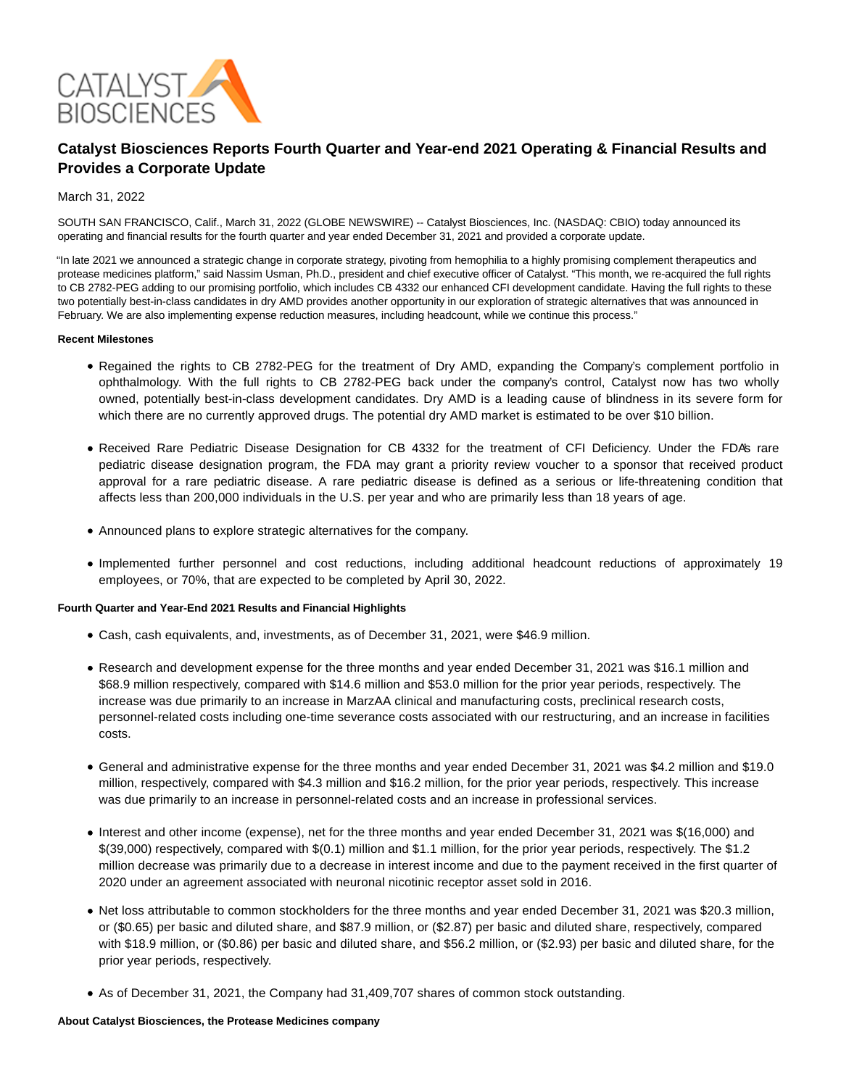

# **Catalyst Biosciences Reports Fourth Quarter and Year-end 2021 Operating & Financial Results and Provides a Corporate Update**

### March 31, 2022

SOUTH SAN FRANCISCO, Calif., March 31, 2022 (GLOBE NEWSWIRE) -- Catalyst Biosciences, Inc. (NASDAQ: CBIO) today announced its operating and financial results for the fourth quarter and year ended December 31, 2021 and provided a corporate update.

"In late 2021 we announced a strategic change in corporate strategy, pivoting from hemophilia to a highly promising complement therapeutics and protease medicines platform," said Nassim Usman, Ph.D., president and chief executive officer of Catalyst. "This month, we re-acquired the full rights to CB 2782-PEG adding to our promising portfolio, which includes CB 4332 our enhanced CFI development candidate. Having the full rights to these two potentially best-in-class candidates in dry AMD provides another opportunity in our exploration of strategic alternatives that was announced in February. We are also implementing expense reduction measures, including headcount, while we continue this process."

#### **Recent Milestones**

- Regained the rights to CB 2782-PEG for the treatment of Dry AMD, expanding the Company's complement portfolio in ophthalmology. With the full rights to CB 2782-PEG back under the company's control, Catalyst now has two wholly owned, potentially best-in-class development candidates. Dry AMD is a leading cause of blindness in its severe form for which there are no currently approved drugs. The potential dry AMD market is estimated to be over \$10 billion.
- Received Rare Pediatric Disease Designation for CB 4332 for the treatment of CFI Deficiency. Under the FDA's rare pediatric disease designation program, the FDA may grant a priority review voucher to a sponsor that received product approval for a rare pediatric disease. A rare pediatric disease is defined as a serious or life-threatening condition that affects less than 200,000 individuals in the U.S. per year and who are primarily less than 18 years of age.
- Announced plans to explore strategic alternatives for the company.
- Implemented further personnel and cost reductions, including additional headcount reductions of approximately 19 employees, or 70%, that are expected to be completed by April 30, 2022.

#### **Fourth Quarter and Year-End 2021 Results and Financial Highlights**

- Cash, cash equivalents, and, investments, as of December 31, 2021, were \$46.9 million.
- Research and development expense for the three months and year ended December 31, 2021 was \$16.1 million and \$68.9 million respectively, compared with \$14.6 million and \$53.0 million for the prior year periods, respectively. The increase was due primarily to an increase in MarzAA clinical and manufacturing costs, preclinical research costs, personnel-related costs including one-time severance costs associated with our restructuring, and an increase in facilities costs.
- General and administrative expense for the three months and year ended December 31, 2021 was \$4.2 million and \$19.0 million, respectively, compared with \$4.3 million and \$16.2 million, for the prior year periods, respectively. This increase was due primarily to an increase in personnel-related costs and an increase in professional services.
- Interest and other income (expense), net for the three months and year ended December 31, 2021 was \$(16,000) and \$(39,000) respectively, compared with \$(0.1) million and \$1.1 million, for the prior year periods, respectively. The \$1.2 million decrease was primarily due to a decrease in interest income and due to the payment received in the first quarter of 2020 under an agreement associated with neuronal nicotinic receptor asset sold in 2016.
- Net loss attributable to common stockholders for the three months and year ended December 31, 2021 was \$20.3 million, or (\$0.65) per basic and diluted share, and \$87.9 million, or (\$2.87) per basic and diluted share, respectively, compared with \$18.9 million, or (\$0.86) per basic and diluted share, and \$56.2 million, or (\$2.93) per basic and diluted share, for the prior year periods, respectively.
- As of December 31, 2021, the Company had 31,409,707 shares of common stock outstanding.

#### **About Catalyst Biosciences, the Protease Medicines company**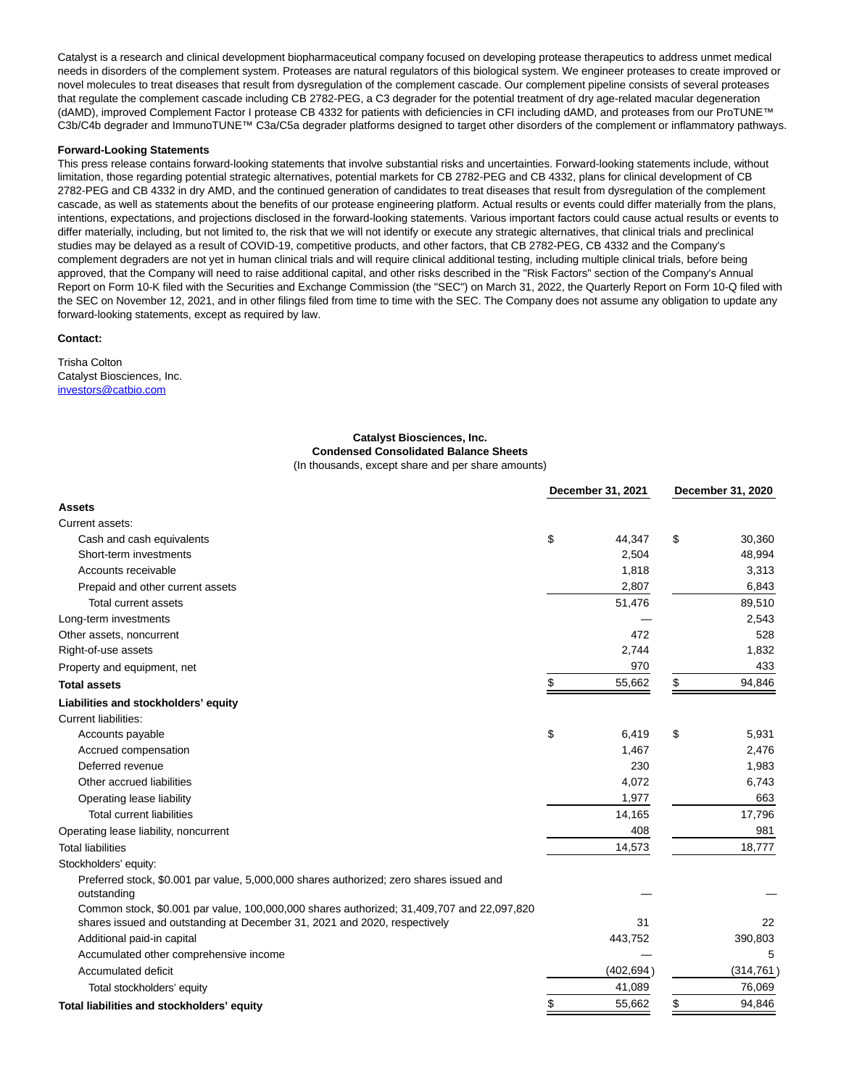Catalyst is a research and clinical development biopharmaceutical company focused on developing protease therapeutics to address unmet medical needs in disorders of the complement system. Proteases are natural regulators of this biological system. We engineer proteases to create improved or novel molecules to treat diseases that result from dysregulation of the complement cascade. Our complement pipeline consists of several proteases that regulate the complement cascade including CB 2782-PEG, a C3 degrader for the potential treatment of dry age-related macular degeneration (dAMD), improved Complement Factor I protease CB 4332 for patients with deficiencies in CFI including dAMD, and proteases from our ProTUNE™ C3b/C4b degrader and ImmunoTUNE™ C3a/C5a degrader platforms designed to target other disorders of the complement or inflammatory pathways.

#### **Forward-Looking Statements**

This press release contains forward-looking statements that involve substantial risks and uncertainties. Forward-looking statements include, without limitation, those regarding potential strategic alternatives, potential markets for CB 2782-PEG and CB 4332, plans for clinical development of CB 2782-PEG and CB 4332 in dry AMD, and the continued generation of candidates to treat diseases that result from dysregulation of the complement cascade, as well as statements about the benefits of our protease engineering platform. Actual results or events could differ materially from the plans, intentions, expectations, and projections disclosed in the forward-looking statements. Various important factors could cause actual results or events to differ materially, including, but not limited to, the risk that we will not identify or execute any strategic alternatives, that clinical trials and preclinical studies may be delayed as a result of COVID-19, competitive products, and other factors, that CB 2782-PEG, CB 4332 and the Company's complement degraders are not yet in human clinical trials and will require clinical additional testing, including multiple clinical trials, before being approved, that the Company will need to raise additional capital, and other risks described in the "Risk Factors" section of the Company's Annual Report on Form 10-K filed with the Securities and Exchange Commission (the "SEC") on March 31, 2022, the Quarterly Report on Form 10-Q filed with the SEC on November 12, 2021, and in other filings filed from time to time with the SEC. The Company does not assume any obligation to update any forward-looking statements, except as required by law.

#### **Contact:**

Trisha Colton Catalyst Biosciences, Inc. [investors@catbio.com](https://www.globenewswire.com/Tracker?data=BBgB86KngEPXKQQnBXhhnlKt9C6I_MoTgjF_TYaWYgBuN_klKwKk3bIyySPzRByCSIy2DAuj6-Na4hzjXKgvWvKLIu-7YWxUHwYh-j6H26I=)

## **Catalyst Biosciences, Inc. Condensed Consolidated Balance Sheets**

(In thousands, except share and per share amounts)

|                                                                                                        | December 31, 2021 |            | December 31, 2020 |            |
|--------------------------------------------------------------------------------------------------------|-------------------|------------|-------------------|------------|
| <b>Assets</b>                                                                                          |                   |            |                   |            |
| Current assets:                                                                                        |                   |            |                   |            |
| Cash and cash equivalents                                                                              | \$                | 44,347     | \$                | 30,360     |
| Short-term investments                                                                                 |                   | 2,504      |                   | 48,994     |
| Accounts receivable                                                                                    |                   | 1,818      |                   | 3,313      |
| Prepaid and other current assets                                                                       |                   | 2,807      |                   | 6,843      |
| Total current assets                                                                                   |                   | 51,476     |                   | 89,510     |
| Long-term investments                                                                                  |                   |            |                   | 2,543      |
| Other assets, noncurrent                                                                               |                   | 472        |                   | 528        |
| Right-of-use assets                                                                                    |                   | 2,744      |                   | 1,832      |
| Property and equipment, net                                                                            |                   | 970        |                   | 433        |
| Total assets                                                                                           | \$                | 55,662     | \$                | 94,846     |
| Liabilities and stockholders' equity                                                                   |                   |            |                   |            |
| <b>Current liabilities:</b>                                                                            |                   |            |                   |            |
| Accounts payable                                                                                       | \$                | 6,419      | \$                | 5,931      |
| Accrued compensation                                                                                   |                   | 1,467      |                   | 2,476      |
| Deferred revenue                                                                                       |                   | 230        |                   | 1,983      |
| Other accrued liabilities                                                                              |                   | 4,072      |                   | 6,743      |
| Operating lease liability                                                                              |                   | 1,977      |                   | 663        |
| <b>Total current liabilities</b>                                                                       |                   | 14,165     |                   | 17,796     |
| Operating lease liability, noncurrent                                                                  |                   | 408        |                   | 981        |
| <b>Total liabilities</b>                                                                               |                   | 14,573     |                   | 18,777     |
| Stockholders' equity:                                                                                  |                   |            |                   |            |
| Preferred stock, \$0.001 par value, 5,000,000 shares authorized; zero shares issued and<br>outstanding |                   |            |                   |            |
| Common stock, \$0.001 par value, 100,000,000 shares authorized; 31,409,707 and 22,097,820              |                   |            |                   |            |
| shares issued and outstanding at December 31, 2021 and 2020, respectively                              |                   | 31         |                   | 22         |
| Additional paid-in capital                                                                             |                   | 443,752    |                   | 390,803    |
| Accumulated other comprehensive income                                                                 |                   |            |                   | 5          |
| Accumulated deficit                                                                                    |                   | (402, 694) |                   | (314, 761) |
| Total stockholders' equity                                                                             |                   | 41,089     |                   | 76,069     |
| Total liabilities and stockholders' equity                                                             | \$                | 55,662     | \$                | 94,846     |